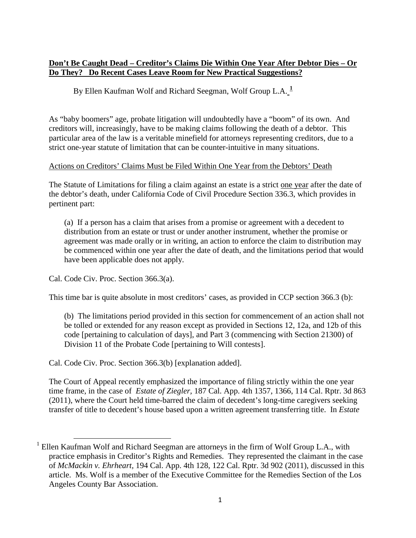# **Don't Be Caught Dead – Creditor's Claims Die Within One Year After Debtor Dies – Or Do They? Do Recent Cases Leave Room for New Practical Suggestions?**

By Ellen Kaufman Wolf and Richard Seegman, Wolf Group L.A.<sup>[1](#page-0-0)</sup>

As "baby boomers" age, probate litigation will undoubtedly have a "boom" of its own. And creditors will, increasingly, have to be making claims following the death of a debtor. This particular area of the law is a veritable minefield for attorneys representing creditors, due to a strict one-year statute of limitation that can be counter-intuitive in many situations.

### Actions on Creditors' Claims Must be Filed Within One Year from the Debtors' Death

The Statute of Limitations for filing a claim against an estate is a strict one year after the date of the debtor's death, under California Code of Civil Procedure Section 336.3, which provides in pertinent part:

(a) If a person has a claim that arises from a promise or agreement with a decedent to distribution from an estate or trust or under another instrument, whether the promise or agreement was made orally or in writing, an action to enforce the claim to distribution may be commenced within one year after the date of death, and the limitations period that would have been applicable does not apply.

Cal. Code Civ. Proc. Section 366.3(a).

 $\overline{\phantom{0}}$ 

This time bar is quite absolute in most creditors' cases, as provided in CCP section 366.3 (b):

(b) The limitations period provided in this section for commencement of an action shall not be tolled or extended for any reason except as provided in Sections 12, 12a, and 12b of this code [pertaining to calculation of days], and Part 3 (commencing with Section 21300) of Division 11 of the Probate Code [pertaining to Will contests].

Cal. Code Civ. Proc. Section 366.3(b) [explanation added].

The Court of Appeal recently emphasized the importance of filing strictly within the one year time frame, in the case of *Estate of Ziegler,* 187 Cal. App. 4th 1357, 1366, 114 Cal. Rptr. 3d 863 (2011), where the Court held time-barred the claim of decedent's long-time caregivers seeking transfer of title to decedent's house based upon a written agreement transferring title. In *Estate* 

<span id="page-0-0"></span><sup>&</sup>lt;sup>1</sup> Ellen Kaufman Wolf and Richard Seegman are attorneys in the firm of Wolf Group L.A., with practice emphasis in Creditor's Rights and Remedies. They represented the claimant in the case of *McMackin v. Ehrheart,* 194 Cal. App. 4th 128, 122 Cal. Rptr. 3d 902 (2011), discussed in this article. Ms. Wolf is a member of the Executive Committee for the Remedies Section of the Los Angeles County Bar Association.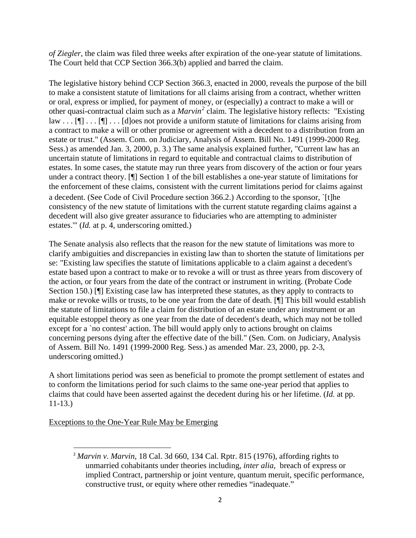*of Ziegler*, the claim was filed three weeks after expiration of the one-year statute of limitations. The Court held that CCP Section 366.3(b) applied and barred the claim.

The legislative history behind CCP Section 366.3, enacted in 2000, reveals the purpose of the bill to make a consistent statute of limitations for all claims arising from a contract, whether written or oral, express or implied, for payment of money, or (especially) a contract to make a will or other quasi-contractual claim such as a *Marvin[2](#page-1-0)* claim. The legislative history reflects: "Existing law  $\ldots$  [ $\parallel$ ]  $\ldots$  [ $\parallel$ ]  $\ldots$  [d]oes not provide a uniform statute of limitations for claims arising from a contract to make a will or other promise or agreement with a decedent to a distribution from an estate or trust." (Assem. Com. on Judiciary, Analysis of Assem. Bill No. 1491 (1999-2000 Reg. Sess.) as amended Jan. 3, 2000, p. 3.) The same analysis explained further, "Current law has an uncertain statute of limitations in regard to equitable and contractual claims to distribution of estates. In some cases, the statute may run three years from discovery of the action or four years under a contract theory. [¶] Section 1 of the bill establishes a one-year statute of limitations for the enforcement of these claims, consistent with the current limitations period for claims against a decedent. (See Code of Civil Procedure section 366.2.) According to the sponsor, `[t]he consistency of the new statute of limitations with the current statute regarding claims against a decedent will also give greater assurance to fiduciaries who are attempting to administer estates.'" (*Id.* at p. 4, underscoring omitted.)

The Senate analysis also reflects that the reason for the new statute of limitations was more to clarify ambiguities and discrepancies in existing law than to shorten the statute of limitations per se: "Existing law specifies the statute of limitations applicable to a claim against a decedent's estate based upon a contract to make or to revoke a will or trust as three years from discovery of the action, or four years from the date of the contract or instrument in writing. (Probate Code Section 150.) [¶] Existing case law has interpreted these statutes, as they apply to contracts to make or revoke wills or trusts, to be one year from the date of death. [¶] This bill would establish the statute of limitations to file a claim for distribution of an estate under any instrument or an equitable estoppel theory as one year from the date of decedent's death, which may not be tolled except for a `no contest' action. The bill would apply only to actions brought on claims concerning persons dying after the effective date of the bill." (Sen. Com. on Judiciary, Analysis of Assem. Bill No. 1491 (1999-2000 Reg. Sess.) as amended Mar. 23, 2000, pp. 2-3, underscoring omitted.)

A short limitations period was seen as beneficial to promote the prompt settlement of estates and to conform the limitations period for such claims to the same one-year period that applies to claims that could have been asserted against the decedent during his or her lifetime. (*Id.* at pp. 11-13.)

# <span id="page-1-0"></span>Exceptions to the One-Year Rule May be Emerging

<sup>&</sup>lt;sup>2</sup> Marvin v. Marvin, 18 Cal. 3d 660, 134 Cal. Rptr. 815 (1976), affording rights to unmarried cohabitants under theories including, *inter alia,* breach of express or implied Contract, partnership or joint venture, quantum meruit, specific performance, constructive trust, or equity where other remedies "inadequate."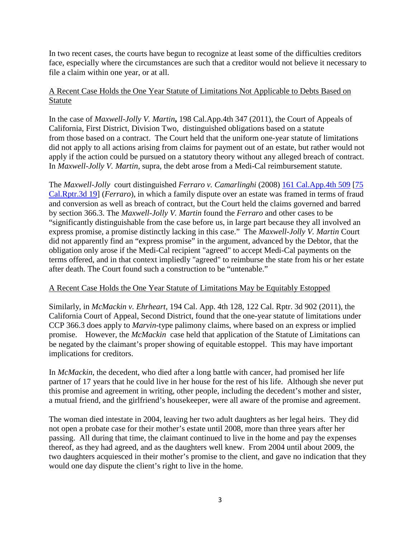In two recent cases, the courts have begun to recognize at least some of the difficulties creditors face, especially where the circumstances are such that a creditor would not believe it necessary to file a claim within one year, or at all.

# A Recent Case Holds the One Year Statute of Limitations Not Applicable to Debts Based on Statute

In the case of *Maxwell-Jolly V. Martin***,** 198 Cal.App.4th 347 (2011), the Court of Appeals of California, First District, Division Two, distinguished obligations based on a statute from those based on a contract. The Court held that the uniform one-year statute of limitations did not apply to all actions arising from claims for payment out of an estate, but rather would not apply if the action could be pursued on a statutory theory without any alleged breach of contract. In *Maxwell-Jolly V. Martin*, supra, the debt arose from a Medi-Cal reimbursement statute.

The *Maxwell-Jolly* court distinguished *Ferraro v. Camarlinghi* (2008) [161 Cal.App.4th 509](http://www.leagle.com/xmlcontentlinks.aspx?gfile=161%20Cal.App.4th%20509) [\[75](http://www.leagle.com/xmlcontentlinks.aspx?gfile=75%20Cal.Rptr.3d%2019)  [Cal.Rptr.3d 19\]](http://www.leagle.com/xmlcontentlinks.aspx?gfile=75%20Cal.Rptr.3d%2019) (*Ferraro*), in which a family dispute over an estate was framed in terms of fraud and conversion as well as breach of contract, but the Court held the claims governed and barred by section 366.3. The *Maxwell-Jolly V. Martin* found the *Ferraro* and other cases to be "significantly distinguishable from the case before us, in large part because they all involved an express promise, a promise distinctly lacking in this case." The *Maxwell-Jolly V. Martin* Court did not apparently find an "express promise" in the argument, advanced by the Debtor, that the obligation only arose if the Medi-Cal recipient "agreed" to accept Medi-Cal payments on the terms offered, and in that context impliedly "agreed" to reimburse the state from his or her estate after death. The Court found such a construction to be "untenable."

# A Recent Case Holds the One Year Statute of Limitations May be Equitably Estopped

Similarly, in *McMackin v. Ehrheart,* 194 Cal. App. 4th 128, 122 Cal. Rptr. 3d 902 (2011), the California Court of Appeal, Second District, found that the one-year statute of limitations under CCP 366.3 does apply to *Marvin*-type palimony claims, where based on an express or implied promise. However, the *McMackin* case held that application of the Statute of Limitations can be negated by the claimant's proper showing of equitable estoppel. This may have important implications for creditors.

In *McMackin*, the decedent, who died after a long battle with cancer, had promised her life partner of 17 years that he could live in her house for the rest of his life. Although she never put this promise and agreement in writing, other people, including the decedent's mother and sister, a mutual friend, and the girlfriend's housekeeper, were all aware of the promise and agreement.

The woman died intestate in 2004, leaving her two adult daughters as her legal heirs. They did not open a probate case for their mother's estate until 2008, more than three years after her passing. All during that time, the claimant continued to live in the home and pay the expenses thereof, as they had agreed, and as the daughters well knew. From 2004 until about 2009, the two daughters acquiesced in their mother's promise to the client, and gave no indication that they would one day dispute the client's right to live in the home.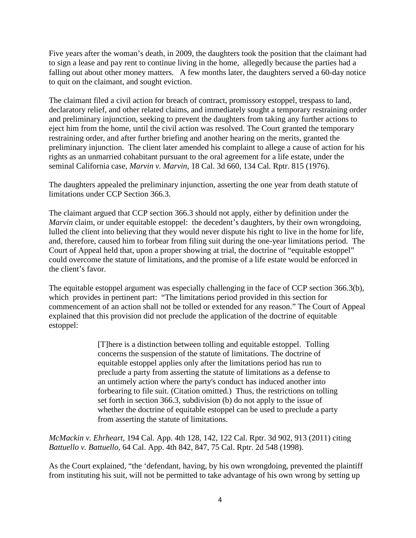Five years after the woman's death, in 2009, the daughters took the position that the claimant had to sign a lease and pay rent to continue living in the home, allegedly because the parties had a falling out about other money matters. A few months later, the daughters served a 60-day notice to quit on the claimant, and sought eviction.

The claimant filed a civil action for breach of contract, promissory estoppel, trespass to land, declaratory relief, and other related claims, and immediately sought a temporary restraining order and preliminary injunction, seeking to prevent the daughters from taking any further actions to eject him from the home, until the civil action was resolved. The Court granted the temporary restraining order, and after further briefing and another hearing on the merits, granted the preliminary injunction. The client later amended his complaint to allege a cause of action for his rights as an unmarried cohabitant pursuant to the oral agreement for a life estate, under the seminal California case, *Marvin v. Marvin*, 18 Cal. 3d 660, 134 Cal. Rptr. 815 (1976).

The daughters appealed the preliminary injunction, asserting the one year from death statute of limitations under CCP Section 366.3.

The claimant argued that CCP section 366.3 should not apply, either by definition under the *Marvin* claim, or under equitable estoppel: the decedent's daughters, by their own wrongdoing, lulled the client into believing that they would never dispute his right to live in the home for life, and, therefore, caused him to forbear from filing suit during the one-year limitations period. The Court of Appeal held that, upon a proper showing at trial, the doctrine of "equitable estoppel" could overcome the statute of limitations, and the promise of a life estate would be enforced in the client's favor.

The equitable estoppel argument was especially challenging in the face of CCP section 366.3(b), which provides in pertinent part: "The limitations period provided in this section for commencement of an action shall not be tolled or extended for any reason." The Court of Appeal explained that this provision did not preclude the application of the doctrine of equitable estoppel:

> [T]here is a distinction between tolling and equitable estoppel. Tolling concerns the suspension of the statute of limitations. The doctrine of equitable estoppel applies only after the limitations period has run to preclude a party from asserting the statute of limitations as a defense to an untimely action where the party's conduct has induced another into forbearing to file suit. (Citation omitted.) Thus, the restrictions on tolling set forth in section 366.3, subdivision (b) do not apply to the issue of whether the doctrine of equitable estoppel can be used to preclude a party from asserting the statute of limitations.

*McMackin v. Ehrheart,* 194 Cal. App. 4th 128, 142, 122 Cal. Rptr. 3d 902, 913 (2011) citing *Battuello v. Battuello*, 64 Cal. App. 4th 842, 847, 75 Cal. Rptr. 2d 548 (1998).

As the Court explained, "the 'defendant, having, by his own wrongdoing, prevented the plaintiff from instituting his suit, will not be permitted to take advantage of his own wrong by setting up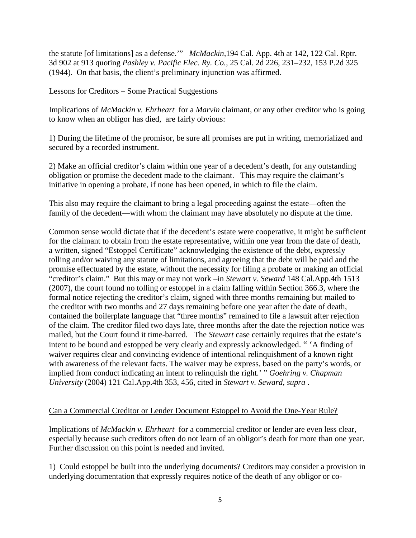the statute [of limitations] as a defense.'" *McMackin,*194 Cal. App. 4th at 142, 122 Cal. Rptr. 3d 902 at 913 quoting *Pashley v. Pacific Elec. Ry. Co.,* 25 Cal. 2d 226, 231–232, 153 P.2d 325 (1944). On that basis, the client's preliminary injunction was affirmed.

### Lessons for Creditors – Some Practical Suggestions

Implications of *McMackin v. Ehrheart* for a *Marvin* claimant, or any other creditor who is going to know when an obligor has died, are fairly obvious:

1) During the lifetime of the promisor, be sure all promises are put in writing, memorialized and secured by a recorded instrument.

2) Make an official creditor's claim within one year of a decedent's death, for any outstanding obligation or promise the decedent made to the claimant. This may require the claimant's initiative in opening a probate, if none has been opened, in which to file the claim.

This also may require the claimant to bring a legal proceeding against the estate—often the family of the decedent—with whom the claimant may have absolutely no dispute at the time.

Common sense would dictate that if the decedent's estate were cooperative, it might be sufficient for the claimant to obtain from the estate representative, within one year from the date of death, a written, signed "Estoppel Certificate" acknowledging the existence of the debt, expressly tolling and/or waiving any statute of limitations, and agreeing that the debt will be paid and the promise effectuated by the estate, without the necessity for filing a probate or making an official "creditor's claim." But this may or may not work –in *Stewart v. Seward* 148 Cal.App.4th 1513 (2007), the court found no tolling or estoppel in a claim falling within Section 366.3, where the formal notice rejecting the creditor's claim, signed with three months remaining but mailed to the creditor with two months and 27 days remaining before one year after the date of death, contained the boilerplate language that "three months" remained to file a lawsuit after rejection of the claim. The creditor filed two days late, three months after the date the rejection notice was mailed, but the Court found it time-barred. The *Stewart* case certainly requires that the estate's intent to be bound and estopped be very clearly and expressly acknowledged. " 'A finding of waiver requires clear and convincing evidence of intentional relinquishment of a known right with awareness of the relevant facts. The waiver may be express, based on the party's words, or implied from conduct indicating an intent to relinquish the right.' " *Goehring v. Chapman University* (2004) 121 Cal.App.4th 353, 456, cited in *Stewart v. Seward, supra* .

### Can a Commercial Creditor or Lender Document Estoppel to Avoid the One-Year Rule?

Implications of *McMackin v. Ehrheart* for a commercial creditor or lender are even less clear, especially because such creditors often do not learn of an obligor's death for more than one year. Further discussion on this point is needed and invited.

1) Could estoppel be built into the underlying documents? Creditors may consider a provision in underlying documentation that expressly requires notice of the death of any obligor or co-